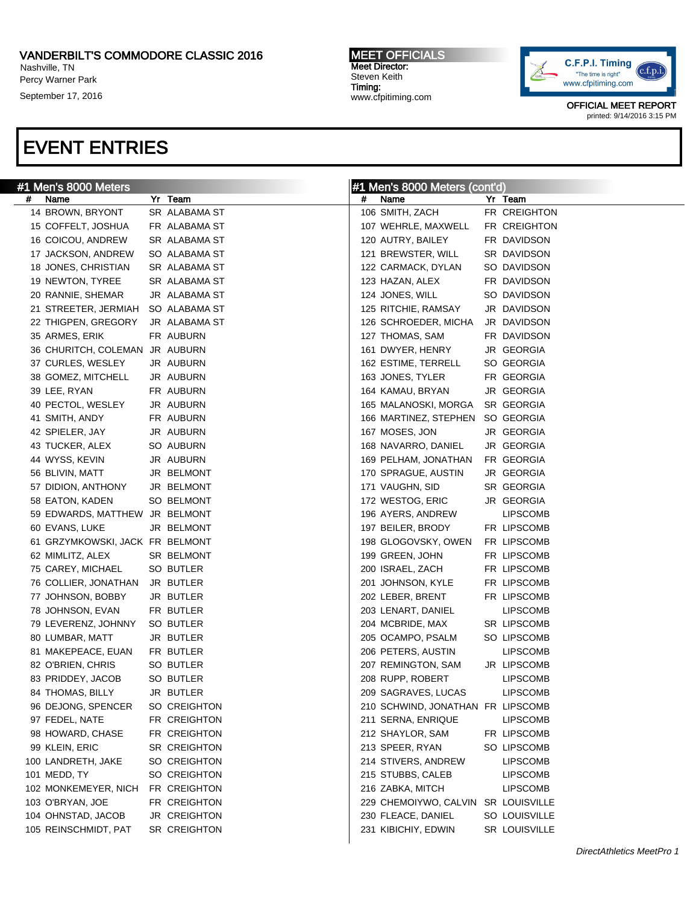### VANDERBILT'S COMMODORE CLASSIC 2016

Nashville, TN Percy Warner Park

September 17, 2016

#### MEET OFFICIALS Meet Director: Steven Keith Timing: www.cfpitiming.com



OFFICIAL MEET REPORT printed: 9/14/2016 3:15 PM

# EVENT ENTRIES

| #1 Men's 8000 Meters               |  |               |   | #1 Men's 8000 Meters (cont'd)       |  |                 |  |
|------------------------------------|--|---------------|---|-------------------------------------|--|-----------------|--|
| Name<br>#                          |  | Yr Team       | # | Name                                |  | Yr Team         |  |
| 14 BROWN, BRYONT                   |  | SR ALABAMA ST |   | 106 SMITH, ZACH                     |  | FR CREIGHTON    |  |
| 15 COFFELT, JOSHUA                 |  | FR ALABAMA ST |   | 107 WEHRLE, MAXWELL                 |  | FR CREIGHTON    |  |
| 16 COICOU, ANDREW                  |  | SR ALABAMA ST |   | 120 AUTRY, BAILEY                   |  | FR DAVIDSON     |  |
| 17 JACKSON, ANDREW                 |  | SO ALABAMA ST |   | 121 BREWSTER, WILL                  |  | SR DAVIDSON     |  |
| 18 JONES, CHRISTIAN                |  | SR ALABAMA ST |   | 122 CARMACK, DYLAN                  |  | SO DAVIDSON     |  |
| 19 NEWTON, TYREE                   |  | SR ALABAMA ST |   | 123 HAZAN, ALEX                     |  | FR DAVIDSON     |  |
| 20 RANNIE, SHEMAR                  |  | JR ALABAMA ST |   | 124 JONES, WILL                     |  | SO DAVIDSON     |  |
| 21 STREETER, JERMIAH SO ALABAMA ST |  |               |   | 125 RITCHIE, RAMSAY                 |  | JR DAVIDSON     |  |
| 22 THIGPEN, GREGORY                |  | JR ALABAMA ST |   | 126 SCHROEDER, MICHA                |  | JR DAVIDSON     |  |
| 35 ARMES, ERIK                     |  | FR AUBURN     |   | 127 THOMAS, SAM                     |  | FR DAVIDSON     |  |
| 36 CHURITCH, COLEMAN JR AUBURN     |  |               |   | 161 DWYER, HENRY                    |  | JR GEORGIA      |  |
| 37 CURLES, WESLEY                  |  | JR AUBURN     |   | 162 ESTIME, TERRELL                 |  | SO GEORGIA      |  |
| 38 GOMEZ, MITCHELL                 |  | JR AUBURN     |   | 163 JONES, TYLER                    |  | FR GEORGIA      |  |
| 39 LEE, RYAN                       |  | FR AUBURN     |   | 164 KAMAU, BRYAN                    |  | JR GEORGIA      |  |
| 40 PECTOL, WESLEY                  |  | JR AUBURN     |   | 165 MALANOSKI, MORGA SR GEORGIA     |  |                 |  |
| 41 SMITH, ANDY                     |  | FR AUBURN     |   | 166 MARTINEZ, STEPHEN SO GEORGIA    |  |                 |  |
| 42 SPIELER, JAY                    |  | JR AUBURN     |   | 167 MOSES, JON                      |  | JR GEORGIA      |  |
| 43 TUCKER, ALEX                    |  | SO AUBURN     |   | 168 NAVARRO, DANIEL                 |  | JR GEORGIA      |  |
| 44 WYSS, KEVIN                     |  | JR AUBURN     |   | 169 PELHAM, JONATHAN                |  | FR GEORGIA      |  |
| 56 BLIVIN, MATT                    |  | JR BELMONT    |   | 170 SPRAGUE, AUSTIN                 |  | JR GEORGIA      |  |
| 57 DIDION, ANTHONY                 |  | JR BELMONT    |   | 171 VAUGHN, SID                     |  | SR GEORGIA      |  |
| 58 EATON, KADEN                    |  | SO BELMONT    |   | 172 WESTOG, ERIC                    |  | JR GEORGIA      |  |
| 59 EDWARDS, MATTHEW JR BELMONT     |  |               |   | 196 AYERS, ANDREW                   |  | <b>LIPSCOMB</b> |  |
| 60 EVANS, LUKE                     |  | JR BELMONT    |   | 197 BEILER, BRODY                   |  | FR LIPSCOMB     |  |
| 61 GRZYMKOWSKI, JACK FR BELMONT    |  |               |   | 198 GLOGOVSKY, OWEN                 |  | FR LIPSCOMB     |  |
| 62 MIMLITZ, ALEX                   |  | SR BELMONT    |   | 199 GREEN, JOHN                     |  | FR LIPSCOMB     |  |
| 75 CAREY, MICHAEL                  |  | SO BUTLER     |   | 200 ISRAEL, ZACH                    |  | FR LIPSCOMB     |  |
| 76 COLLIER, JONATHAN JR BUTLER     |  |               |   | 201 JOHNSON, KYLE                   |  | FR LIPSCOMB     |  |
| 77 JOHNSON, BOBBY                  |  | JR BUTLER     |   | 202 LEBER, BRENT                    |  | FR LIPSCOMB     |  |
| 78 JOHNSON, EVAN                   |  | FR BUTLER     |   | 203 LENART, DANIEL                  |  | <b>LIPSCOMB</b> |  |
| 79 LEVERENZ, JOHNNY                |  | SO BUTLER     |   | 204 MCBRIDE, MAX                    |  | SR LIPSCOMB     |  |
| 80 LUMBAR, MATT                    |  | JR BUTLER     |   | 205 OCAMPO, PSALM                   |  | SO LIPSCOMB     |  |
| 81 MAKEPEACE, EUAN                 |  | FR BUTLER     |   | 206 PETERS, AUSTIN                  |  | <b>LIPSCOMB</b> |  |
| 82 O'BRIEN, CHRIS                  |  | SO BUTLER     |   | 207 REMINGTON, SAM                  |  | JR LIPSCOMB     |  |
| 83 PRIDDEY, JACOB                  |  | SO BUTLER     |   | 208 RUPP, ROBERT                    |  | <b>LIPSCOMB</b> |  |
| 84 THOMAS, BILLY                   |  | JR BUTLER     |   | 209 SAGRAVES, LUCAS                 |  | <b>LIPSCOMB</b> |  |
| 96 DEJONG, SPENCER                 |  | SO CREIGHTON  |   | 210 SCHWIND, JONATHAN FR LIPSCOMB   |  |                 |  |
| 97 FEDEL, NATE                     |  | FR CREIGHTON  |   | 211 SERNA, ENRIQUE                  |  | <b>LIPSCOMB</b> |  |
| 98 HOWARD, CHASE                   |  | FR CREIGHTON  |   | 212 SHAYLOR, SAM                    |  | FR LIPSCOMB     |  |
| 99 KLEIN, ERIC                     |  | SR CREIGHTON  |   | 213 SPEER, RYAN                     |  | SO LIPSCOMB     |  |
| 100 LANDRETH, JAKE                 |  | SO CREIGHTON  |   | 214 STIVERS, ANDREW                 |  | <b>LIPSCOMB</b> |  |
| 101 MEDD, TY                       |  | SO CREIGHTON  |   | 215 STUBBS, CALEB                   |  | <b>LIPSCOMB</b> |  |
| 102 MONKEMEYER, NICH FR CREIGHTON  |  |               |   | 216 ZABKA, MITCH                    |  | <b>LIPSCOMB</b> |  |
| 103 O'BRYAN, JOE                   |  | FR CREIGHTON  |   | 229 CHEMOIYWO, CALVIN SR LOUISVILLE |  |                 |  |
| 104 OHNSTAD, JACOB                 |  | JR CREIGHTON  |   | 230 FLEACE, DANIEL                  |  | SO LOUISVILLE   |  |
| 105 REINSCHMIDT, PAT               |  | SR CREIGHTON  |   | 231 KIBICHIY, EDWIN                 |  | SR LOUISVILLE   |  |
|                                    |  |               |   |                                     |  |                 |  |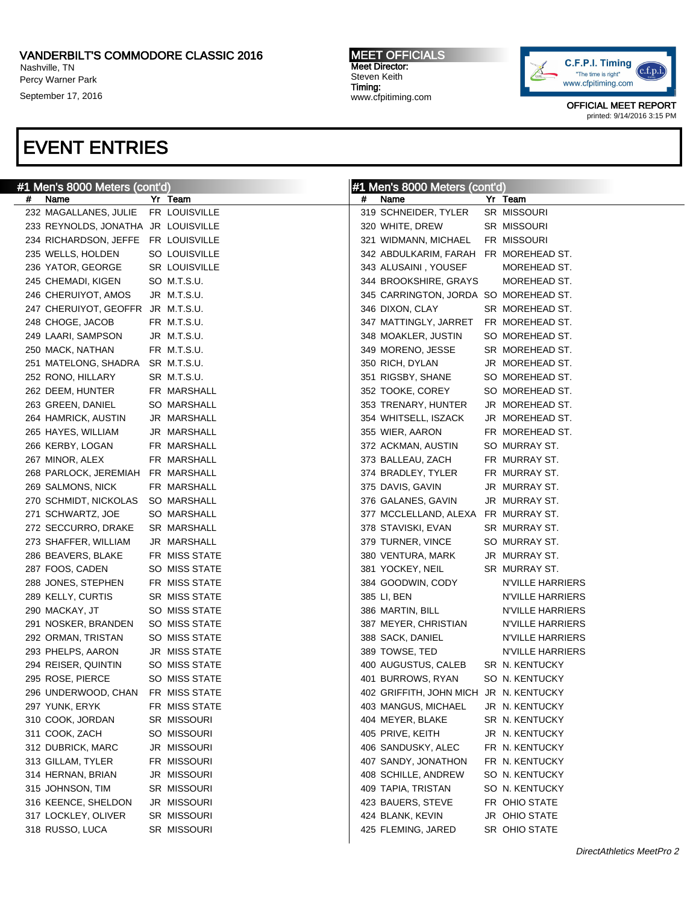### VANDERBILT'S COMMODORE CLASSIC 2016

Nashville, TN Percy Warner Park

September 17, 2016

#### MEET OFFICIALS Meet Director: Steven Keith Timing: www.cfpitiming.com



OFFICIAL MEET REPORT printed: 9/14/2016 3:15 PM

# EVENT ENTRIES

| #1 Men's 8000 Meters (cont'd) |                                     |  | #1 Men's 8000 Meters (cont'd) |   |                                        |  |                         |
|-------------------------------|-------------------------------------|--|-------------------------------|---|----------------------------------------|--|-------------------------|
| Name<br>#                     |                                     |  | Yr Team                       | # | Name                                   |  | Yr Team                 |
|                               | 232 MAGALLANES, JULIE FR LOUISVILLE |  |                               |   | 319 SCHNEIDER, TYLER                   |  | SR MISSOURI             |
|                               | 233 REYNOLDS, JONATHA JR LOUISVILLE |  |                               |   | 320 WHITE, DREW                        |  | SR MISSOURI             |
|                               | 234 RICHARDSON, JEFFE FR LOUISVILLE |  |                               |   | 321 WIDMANN, MICHAEL                   |  | FR MISSOURI             |
|                               | 235 WELLS, HOLDEN                   |  | SO LOUISVILLE                 |   | 342 ABDULKARIM, FARAH FR MOREHEAD ST.  |  |                         |
|                               | 236 YATOR, GEORGE                   |  | SR LOUISVILLE                 |   | 343 ALUSAINI, YOUSEF                   |  | MOREHEAD ST.            |
|                               | 245 CHEMADI, KIGEN                  |  | SO M.T.S.U.                   |   | 344 BROOKSHIRE, GRAYS                  |  | MOREHEAD ST.            |
|                               | 246 CHERUIYOT, AMOS                 |  | JR M.T.S.U.                   |   | 345 CARRINGTON, JORDA SO MOREHEAD ST.  |  |                         |
|                               | 247 CHERUIYOT, GEOFFR JR M.T.S.U.   |  |                               |   | 346 DIXON, CLAY                        |  | SR MOREHEAD ST.         |
|                               | 248 CHOGE, JACOB                    |  | FR M.T.S.U.                   |   | 347 MATTINGLY, JARRET FR MOREHEAD ST.  |  |                         |
|                               | 249 LAARI, SAMPSON                  |  | JR M.T.S.U.                   |   | 348 MOAKLER, JUSTIN                    |  | SO MOREHEAD ST.         |
|                               | 250 MACK, NATHAN                    |  | FR M.T.S.U.                   |   | 349 MORENO, JESSE                      |  | SR MOREHEAD ST.         |
|                               | 251 MATELONG, SHADRA SR M.T.S.U.    |  |                               |   | 350 RICH, DYLAN                        |  | JR MOREHEAD ST.         |
|                               | 252 RONO, HILLARY                   |  | SR M.T.S.U.                   |   | 351 RIGSBY, SHANE                      |  | SO MOREHEAD ST.         |
|                               | 262 DEEM, HUNTER                    |  | FR MARSHALL                   |   | 352 TOOKE, COREY                       |  | SO MOREHEAD ST.         |
|                               | 263 GREEN, DANIEL                   |  | SO MARSHALL                   |   | 353 TRENARY, HUNTER                    |  | JR MOREHEAD ST.         |
|                               | 264 HAMRICK, AUSTIN                 |  | JR MARSHALL                   |   | 354 WHITSELL, ISZACK                   |  | JR MOREHEAD ST.         |
|                               | 265 HAYES, WILLIAM                  |  | JR MARSHALL                   |   | 355 WIER, AARON                        |  | FR MOREHEAD ST.         |
|                               | 266 KERBY, LOGAN                    |  | FR MARSHALL                   |   | 372 ACKMAN, AUSTIN                     |  | SO MURRAY ST.           |
|                               | 267 MINOR, ALEX                     |  | FR MARSHALL                   |   | 373 BALLEAU, ZACH                      |  | FR MURRAY ST.           |
|                               | 268 PARLOCK, JEREMIAH FR MARSHALL   |  |                               |   | 374 BRADLEY, TYLER                     |  | FR MURRAY ST.           |
|                               | 269 SALMONS, NICK                   |  | FR MARSHALL                   |   | 375 DAVIS, GAVIN                       |  | JR MURRAY ST.           |
|                               | 270 SCHMIDT, NICKOLAS               |  | SO MARSHALL                   |   | 376 GALANES, GAVIN                     |  | JR MURRAY ST.           |
|                               | 271 SCHWARTZ, JOE                   |  | SO MARSHALL                   |   | 377 MCCLELLAND, ALEXA FR MURRAY ST.    |  |                         |
|                               | 272 SECCURRO, DRAKE                 |  | SR MARSHALL                   |   | 378 STAVISKI, EVAN                     |  | SR MURRAY ST.           |
|                               | 273 SHAFFER, WILLIAM                |  | JR MARSHALL                   |   | 379 TURNER, VINCE                      |  | SO MURRAY ST.           |
|                               | 286 BEAVERS, BLAKE                  |  | FR MISS STATE                 |   | 380 VENTURA, MARK                      |  | JR MURRAY ST.           |
|                               | 287 FOOS, CADEN                     |  | SO MISS STATE                 |   | 381 YOCKEY, NEIL                       |  | SR MURRAY ST.           |
|                               | 288 JONES, STEPHEN                  |  | FR MISS STATE                 |   | 384 GOODWIN, CODY                      |  | N'VILLE HARRIERS        |
|                               | 289 KELLY, CURTIS                   |  | SR MISS STATE                 |   | 385 LI, BEN                            |  | N'VILLE HARRIERS        |
| 290 MACKAY, JT                |                                     |  | SO MISS STATE                 |   | 386 MARTIN, BILL                       |  | N'VILLE HARRIERS        |
|                               | 291 NOSKER, BRANDEN                 |  | SO MISS STATE                 |   | 387 MEYER, CHRISTIAN                   |  | N'VILLE HARRIERS        |
|                               | 292 ORMAN, TRISTAN                  |  | SO MISS STATE                 |   | 388 SACK, DANIEL                       |  | N'VILLE HARRIERS        |
|                               | 293 PHELPS, AARON                   |  | JR MISS STATE                 |   | 389 TOWSE, TED                         |  | <b>N'VILLE HARRIERS</b> |
|                               | 294 REISER, QUINTIN                 |  | SO MISS STATE                 |   | 400 AUGUSTUS, CALEB                    |  | SR N. KENTUCKY          |
|                               | 295 ROSE, PIERCE                    |  | SO MISS STATE                 |   | 401 BURROWS, RYAN                      |  | SO N. KENTUCKY          |
|                               | 296 UNDERWOOD, CHAN                 |  | FR MISS STATE                 |   | 402 GRIFFITH, JOHN MICH JR N. KENTUCKY |  |                         |
|                               | 297 YUNK, ERYK                      |  | FR MISS STATE                 |   | 403 MANGUS, MICHAEL                    |  | JR N. KENTUCKY          |
|                               | 310 COOK, JORDAN                    |  | SR MISSOURI                   |   | 404 MEYER, BLAKE                       |  | SR N. KENTUCKY          |
|                               | 311 COOK, ZACH                      |  | SO MISSOURI                   |   | 405 PRIVE, KEITH                       |  | JR N. KENTUCKY          |
|                               | 312 DUBRICK, MARC                   |  | JR MISSOURI                   |   | 406 SANDUSKY, ALEC                     |  | FR N. KENTUCKY          |
|                               | 313 GILLAM, TYLER                   |  | FR MISSOURI                   |   | 407 SANDY, JONATHON                    |  | FR N. KENTUCKY          |
|                               | 314 HERNAN, BRIAN                   |  | JR MISSOURI                   |   | 408 SCHILLE, ANDREW                    |  | SO N. KENTUCKY          |
|                               | 315 JOHNSON, TIM                    |  | SR MISSOURI                   |   | 409 TAPIA, TRISTAN                     |  | SO N. KENTUCKY          |
|                               | 316 KEENCE, SHELDON                 |  | JR MISSOURI                   |   | 423 BAUERS, STEVE                      |  | FR OHIO STATE           |
|                               | 317 LOCKLEY, OLIVER                 |  | SR MISSOURI                   |   | 424 BLANK, KEVIN                       |  | JR OHIO STATE           |
|                               | 318 RUSSO, LUCA                     |  | SR MISSOURI                   |   | 425 FLEMING, JARED                     |  | SR OHIO STATE           |
|                               |                                     |  |                               |   |                                        |  |                         |